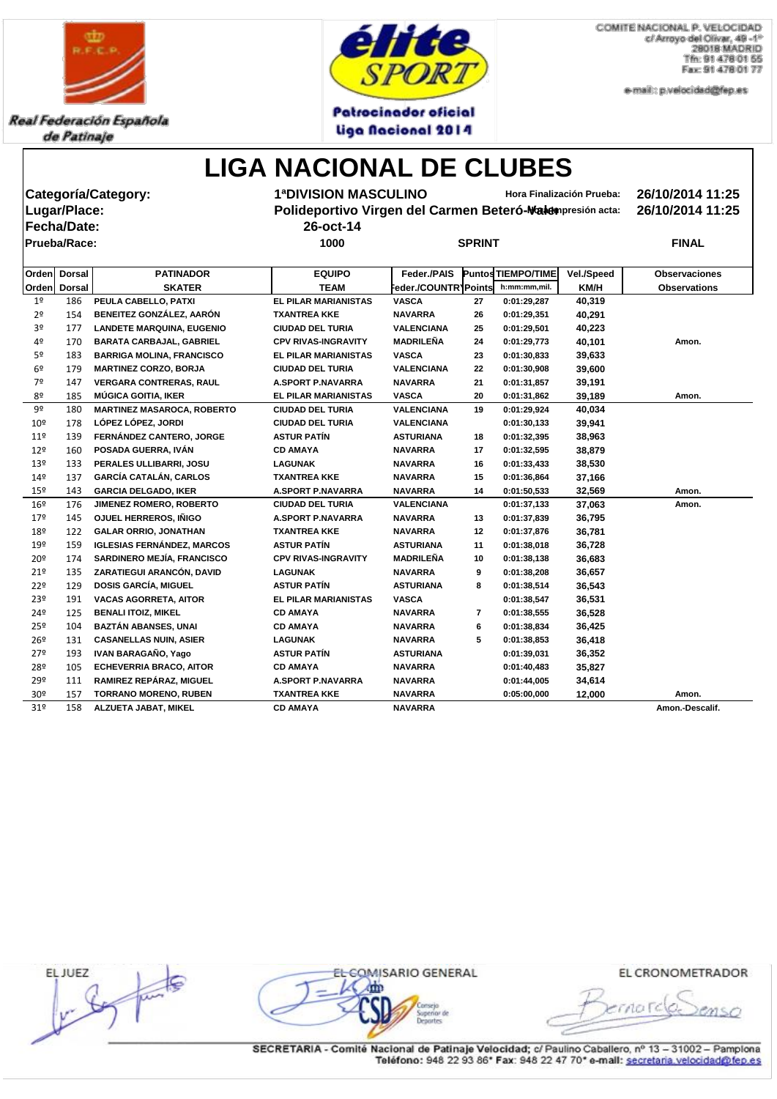

Real Federación Española de Patinaje



**Patrocinador oficial** Liga Nacional 2014

COMITE NACIONAL P. VELOCIDAD c/ Arroyo del Olivar, 49 -1° 28018 MADRID Tfn: 91 478 01 55 Fax: 91 478 01 77

e-mail:: p.velocidad@fep.es

### **LIGA NACIONAL DE CLUBES**

|                                                   |               | Categoría/Category:               | <b>1ªDIVISION MASCULINO</b> | 26/10/2014 11:25<br>Hora Finalización Prueba:             |               |                    |            |                      |  |  |  |  |
|---------------------------------------------------|---------------|-----------------------------------|-----------------------------|-----------------------------------------------------------|---------------|--------------------|------------|----------------------|--|--|--|--|
|                                                   | Lugar/Place:  |                                   |                             | Polideportivo Virgen del Carmen Beteró-Nakempresión acta: |               |                    |            |                      |  |  |  |  |
|                                                   | Fecha/Date:   |                                   | 26-oct-14                   |                                                           |               |                    |            |                      |  |  |  |  |
|                                                   | Prueba/Race:  |                                   | 1000                        |                                                           | <b>SPRINT</b> |                    |            | <b>FINAL</b>         |  |  |  |  |
|                                                   |               |                                   |                             |                                                           |               |                    |            |                      |  |  |  |  |
| <b>PATINADOR</b><br><b>Dorsal</b><br><b>Orden</b> |               |                                   | <b>EQUIPO</b>               | Feder./PAIS                                               |               | Puntos TIEMPO/TIME | Vel./Speed | <b>Observaciones</b> |  |  |  |  |
| <b>Orden</b>                                      | <b>Dorsal</b> | <b>SKATER</b>                     | <b>TEAM</b>                 | Feder./COUNTR1Points                                      |               | h:mm:mm,mil.       | KM/H       | <b>Observations</b>  |  |  |  |  |
| 1 <sup>o</sup>                                    | 186           | PEULA CABELLO, PATXI              | <b>EL PILAR MARIANISTAS</b> | <b>VASCA</b>                                              | 27            | 0:01:29,287        | 40,319     |                      |  |  |  |  |
| 2 <sup>o</sup>                                    | 154           | BENEITEZ GONZÁLEZ, AARÓN          | <b>TXANTREA KKE</b>         | <b>NAVARRA</b>                                            | 26            | 0:01:29,351        | 40,291     |                      |  |  |  |  |
| 3 <sup>o</sup>                                    | 177           | <b>LANDETE MARQUINA, EUGENIO</b>  | <b>CIUDAD DEL TURIA</b>     | <b>VALENCIANA</b>                                         | 25            | 0:01:29,501        | 40,223     |                      |  |  |  |  |
| 4º                                                | 170           | <b>BARATA CARBAJAL, GABRIEL</b>   | <b>CPV RIVAS-INGRAVITY</b>  | <b>MADRILEÑA</b>                                          | 24            | 0:01:29,773        | 40,101     | Amon.                |  |  |  |  |
| 5º                                                | 183           | <b>BARRIGA MOLINA, FRANCISCO</b>  | <b>EL PILAR MARIANISTAS</b> | <b>VASCA</b>                                              | 23            | 0:01:30,833        | 39,633     |                      |  |  |  |  |
| 6 <sup>9</sup>                                    | 179           | <b>MARTINEZ CORZO, BORJA</b>      | <b>CIUDAD DEL TURIA</b>     | <b>VALENCIANA</b>                                         | 22            | 0:01:30,908        | 39,600     |                      |  |  |  |  |
| 7º                                                | 147           | <b>VERGARA CONTRERAS, RAUL</b>    | <b>A.SPORT P.NAVARRA</b>    | <b>NAVARRA</b>                                            | 21            | 0:01:31,857        | 39,191     |                      |  |  |  |  |
| 8º                                                | 185           | <b>MÚGICA GOITIA, IKER</b>        | <b>EL PILAR MARIANISTAS</b> | <b>VASCA</b>                                              | 20            | 0:01:31,862        | 39,189     | Amon.                |  |  |  |  |
| 9º                                                | 180           | <b>MARTINEZ MASAROCA, ROBERTO</b> | <b>CIUDAD DEL TURIA</b>     | <b>VALENCIANA</b>                                         | 19            | 0:01:29,924        | 40,034     |                      |  |  |  |  |
| 10 <sup>°</sup>                                   | 178           | LÓPEZ LÓPEZ, JORDI                | <b>CIUDAD DEL TURIA</b>     | <b>VALENCIANA</b>                                         |               | 0:01:30,133        | 39,941     |                      |  |  |  |  |
| 11 <sup>°</sup>                                   | 139           | FERNÁNDEZ CANTERO, JORGE          | <b>ASTUR PATÍN</b>          | <b>ASTURIANA</b>                                          | 18            | 0:01:32,395        | 38,963     |                      |  |  |  |  |
| 12 <sup>°</sup>                                   | 160           | POSADA GUERRA, IVÁN               | <b>CD AMAYA</b>             | <b>NAVARRA</b>                                            | 17            | 0:01:32,595        | 38,879     |                      |  |  |  |  |
| 13 <sup>°</sup>                                   | 133           | PERALES ULLIBARRI, JOSU           | <b>LAGUNAK</b>              | <b>NAVARRA</b>                                            | 16            | 0:01:33,433        | 38,530     |                      |  |  |  |  |
| $14^{\circ}$                                      | 137           | <b>GARCÍA CATALÁN, CARLOS</b>     | <b>TXANTREA KKE</b>         | <b>NAVARRA</b>                                            | 15            | 0:01:36,864        | 37,166     |                      |  |  |  |  |
| 15 <sup>°</sup>                                   | 143           | <b>GARCIA DELGADO, IKER</b>       | <b>A.SPORT P.NAVARRA</b>    | <b>NAVARRA</b>                                            | 14            | 0:01:50,533        | 32,569     | Amon.                |  |  |  |  |
| 16 <sup>°</sup>                                   | 176           | JIMENEZ ROMERO, ROBERTO           | <b>CIUDAD DEL TURIA</b>     | <b>VALENCIANA</b>                                         |               | 0:01:37,133        | 37,063     | Amon.                |  |  |  |  |
| $17^{\circ}$                                      | 145           | OJUEL HERREROS, IÑIGO             | <b>A.SPORT P.NAVARRA</b>    | <b>NAVARRA</b>                                            | 13            | 0:01:37,839        | 36,795     |                      |  |  |  |  |
| 18º                                               | 122           | <b>GALAR ORRIO, JONATHAN</b>      | <b>TXANTREA KKE</b>         | <b>NAVARRA</b>                                            | 12            | 0:01:37,876        | 36,781     |                      |  |  |  |  |
| 19º                                               | 159           | <b>IGLESIAS FERNÁNDEZ, MARCOS</b> | <b>ASTUR PATÍN</b>          | <b>ASTURIANA</b>                                          | 11            | 0:01:38,018        | 36,728     |                      |  |  |  |  |
| 20 <sup>o</sup>                                   | 174           | SARDINERO MEJÍA, FRANCISCO        | <b>CPV RIVAS-INGRAVITY</b>  | <b>MADRILEÑA</b>                                          | 10            | 0:01:38,138        | 36,683     |                      |  |  |  |  |
| 21°                                               | 135           | ZARATIEGUI ARANCÓN, DAVID         | <b>LAGUNAK</b>              | <b>NAVARRA</b>                                            | 9             | 0:01:38,208        | 36,657     |                      |  |  |  |  |
| 22°                                               | 129           | <b>DOSIS GARCÍA, MIGUEL</b>       | <b>ASTUR PATÍN</b>          | <b>ASTURIANA</b>                                          | 8             | 0:01:38,514        | 36,543     |                      |  |  |  |  |
| 23º                                               | 191           | <b>VACAS AGORRETA, AITOR</b>      | <b>EL PILAR MARIANISTAS</b> | <b>VASCA</b>                                              |               | 0:01:38,547        | 36,531     |                      |  |  |  |  |
| 24º                                               | <u>125</u>    | <b>BENALI ITOIZ, MIKEL</b>        | <b>CD AMAYA</b>             | NAVARRA                                                   |               | 0:01:38,555        | 36,528     |                      |  |  |  |  |
| $25^{\circ}$                                      | 104           | <b>BAZTÁN ABANSES, UNAI</b>       | <b>CD AMAYA</b>             | <b>NAVARRA</b>                                            | 6             | 0:01:38,834        | 36,425     |                      |  |  |  |  |
| 26 <sup>°</sup>                                   | 131           | <b>CASANELLAS NUIN, ASIER</b>     | <b>LAGUNAK</b>              | <b>NAVARRA</b>                                            | 5             | 0:01:38,853        | 36,418     |                      |  |  |  |  |
| 27°                                               | 193           | IVAN BARAGAÑO, Yago               | <b>ASTUR PATÍN</b>          | <b>ASTURIANA</b>                                          |               | 0:01:39,031        | 36,352     |                      |  |  |  |  |
| 28º                                               | 105           | <b>ECHEVERRIA BRACO, AITOR</b>    | <b>CD AMAYA</b>             | <b>NAVARRA</b>                                            |               | 0:01:40,483        | 35,827     |                      |  |  |  |  |
| 29º                                               | 111           | RAMIREZ REPÁRAZ, MIGUEL           | <b>A.SPORT P.NAVARRA</b>    | <b>NAVARRA</b>                                            |               | 0:01:44,005        | 34,614     |                      |  |  |  |  |
| 30 <sup>o</sup>                                   | 157           | <b>TORRANO MORENO, RUBEN</b>      | <b>TXANTREA KKE</b>         | <b>NAVARRA</b>                                            |               | 0:05:00,000        | 12,000     | Amon.                |  |  |  |  |
| 31 <sup>°</sup>                                   | 158           | ALZUETA JABAT, MIKEL              | <b>CD AMAYA</b>             | <b>NAVARRA</b>                                            |               |                    |            | Amon.-Descalif.      |  |  |  |  |

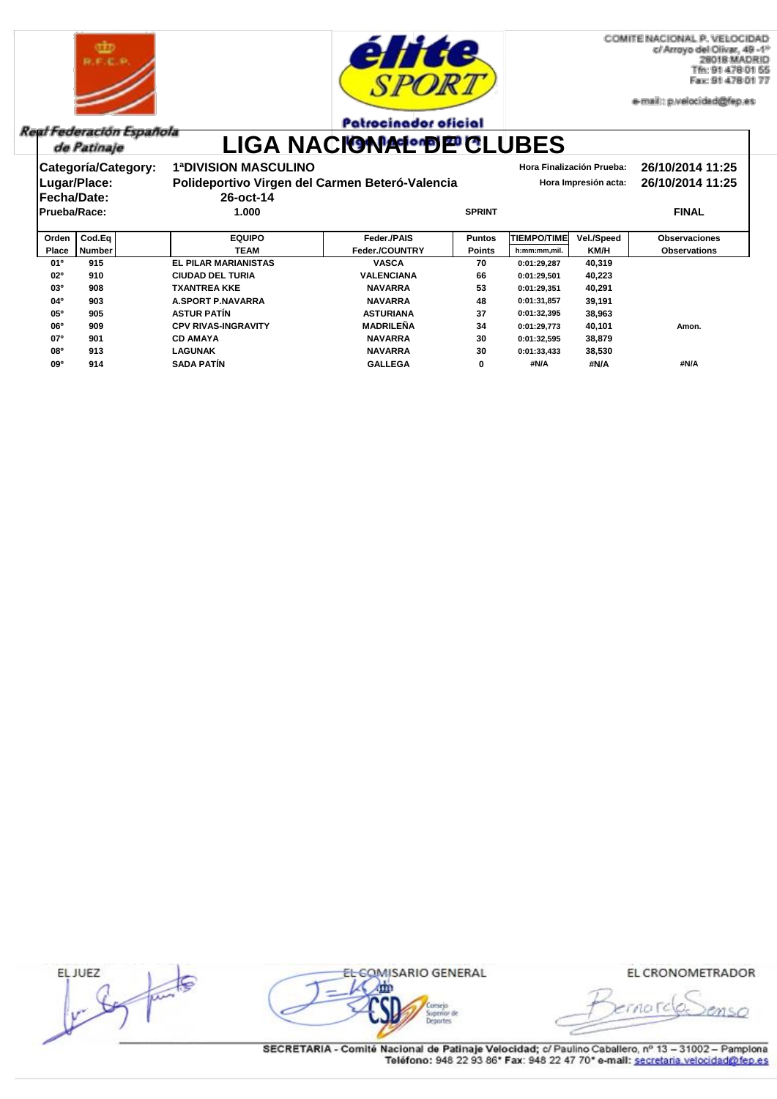



COMITE NACIONAL P. VELOCIDAD c/ Arroyo del Olivar, 49 -1° 28018 MADRID Tfn: 91 478 01 55 Fax: 91 478 01 77

e-mail:: p.velocidad@fep.es

#### **Patrocinador oficial**

Real Federación Española de Patinaje

# LIGA NACIONAL DE CLUBES

| Categoría/Category:<br>Lugar/Place:<br><b> Fecha/Date:</b><br><b>Prueba/Race:</b> |        | <b>1ªDIVISION MASCULINO</b><br>26-oct-14<br>1.000 | Polideportivo Virgen del Carmen Beteró-Valencia | <b>SPRINT</b> |                    | Hora Finalización Prueba:<br>Hora Impresión acta: | 26/10/2014 11:25<br>26/10/2014 11:25<br><b>FINAL</b> |  |  |
|-----------------------------------------------------------------------------------|--------|---------------------------------------------------|-------------------------------------------------|---------------|--------------------|---------------------------------------------------|------------------------------------------------------|--|--|
| Orden                                                                             | Cod.Eq | <b>EQUIPO</b>                                     | <b>Feder /PAIS</b>                              | <b>Puntos</b> | <b>TIEMPO/TIME</b> | <b>Vel./Speed</b>                                 | <b>Observaciones</b>                                 |  |  |
| <b>Place</b>                                                                      | Number | <b>TEAM</b>                                       | <b>Feder./COUNTRY</b>                           | <b>Points</b> | h:mm:mm,mil.       | KM/H                                              | <b>Observations</b>                                  |  |  |
| $01^{\circ}$                                                                      | 915    | <b>EL PILAR MARIANISTAS</b>                       | <b>VASCA</b>                                    | 70            | 0:01:29,287        | 40,319                                            |                                                      |  |  |
| 02 <sup>o</sup>                                                                   | 910    | <b>CIUDAD DEL TURIA</b>                           | <b>VALENCIANA</b>                               | 66            | 0:01:29.501        | 40,223                                            |                                                      |  |  |
| 03 <sup>o</sup>                                                                   | 908    | <b>TXANTREA KKE</b>                               | <b>NAVARRA</b>                                  | 53            | 0:01:29,351        | 40,291                                            |                                                      |  |  |
| 04°                                                                               | 903    | <b>A.SPORT P.NAVARRA</b>                          | <b>NAVARRA</b>                                  | 48            | 0:01:31,857        | 39,191                                            |                                                      |  |  |
| 05°                                                                               | 905    | <b>ASTUR PATIN</b>                                | <b>ASTURIANA</b>                                | 37            | 0:01:32,395        | 38,963                                            |                                                      |  |  |
| <b>06°</b>                                                                        | 909    | <b>CPV RIVAS-INGRAVITY</b>                        | <b>MADRILEÑA</b>                                | 34            | 0:01:29.773        | 40,101                                            | Amon.                                                |  |  |
| 07 <sup>o</sup>                                                                   | 901    | <b>CD AMAYA</b>                                   | <b>NAVARRA</b>                                  | 30            | 0:01:32,595        | 38,879                                            |                                                      |  |  |
| <b>08°</b>                                                                        | 913    | <b>LAGUNAK</b>                                    | <b>NAVARRA</b>                                  | 30            | 0:01:33.433        | 38,530                                            |                                                      |  |  |
| 09 <sup>o</sup>                                                                   | 914    | <b>SADA PATÍN</b>                                 | <b>GALLEGA</b>                                  | 0             | #N/A               | #N/A                                              | #N/A                                                 |  |  |

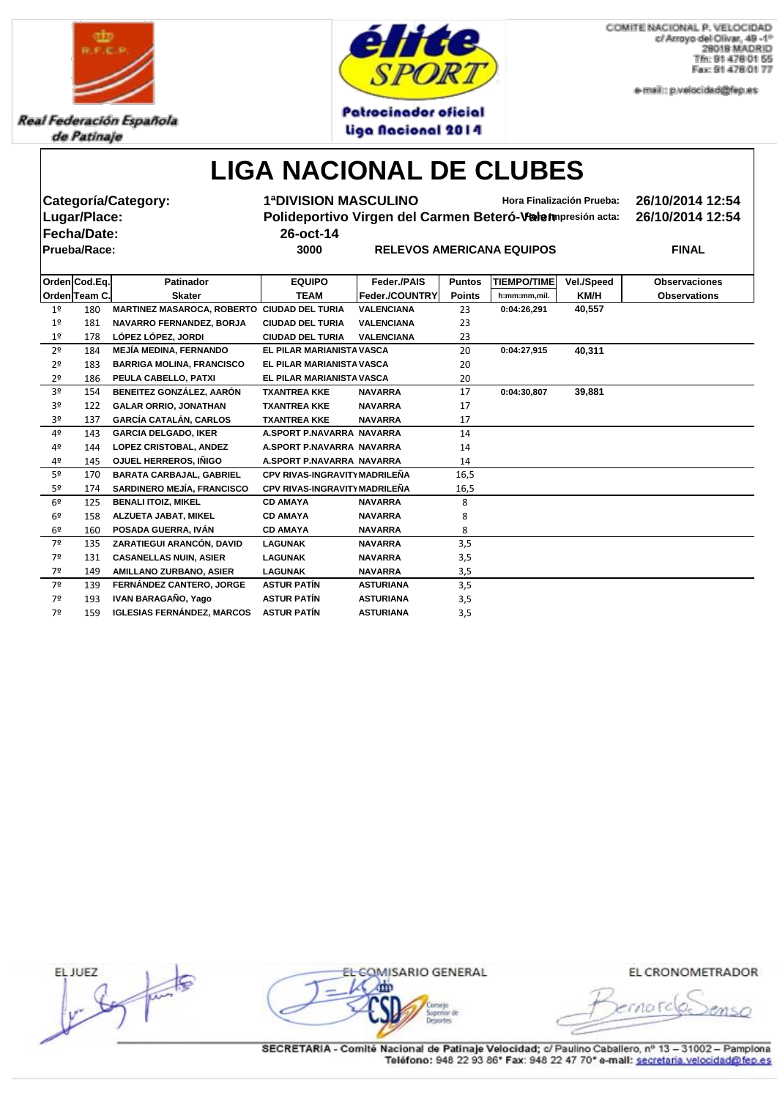

Real Federación Española de Patinaje



COMITE NACIONAL P. VELOCIDAD c/ Arroyo del Olivar, 49 -1° 28018 MADRID Tfn: 91 478 01 55 Fax: 91 478 01 77

e-mail:: p.velocidad@fep.es

## **LIGA NACIONAL DE CLUBES**

Liga Nacional 2014

|                | Lugar/Place:<br><b>Fecha/Date:</b> | <b>Categoría/Category:</b>                  | <b>1ªDIVISION MASCULINO</b><br>Polideportivo Virgen del Carmen Beteró-Valempresión acta:<br>26-oct-14 | 26/10/2014 12:54<br>26/10/2014 12:54 |               |                    |            |                      |
|----------------|------------------------------------|---------------------------------------------|-------------------------------------------------------------------------------------------------------|--------------------------------------|---------------|--------------------|------------|----------------------|
|                | <b>Prueba/Race:</b>                |                                             | 3000                                                                                                  | <b>FINAL</b>                         |               |                    |            |                      |
|                |                                    |                                             |                                                                                                       |                                      |               |                    |            |                      |
|                | Orden Cod.Eq.<br><b>Patinador</b>  |                                             | <b>EQUIPO</b>                                                                                         | Feder./PAIS                          | <b>Puntos</b> | <b>TIEMPO/TIME</b> | Vel./Speed | <b>Observaciones</b> |
|                | Orden Team C.                      | <b>Skater</b>                               | <b>TEAM</b>                                                                                           | Feder./COUNTRY                       | <b>Points</b> | h:mm:mm,mil.       | KM/H       | <b>Observations</b>  |
| 1 <sup>°</sup> | 180                                | MARTINEZ MASAROCA, ROBERTO CIUDAD DEL TURIA |                                                                                                       | <b>VALENCIANA</b>                    | 23            | 0:04:26,291        | 40,557     |                      |
| 1 <sup>°</sup> | 181                                | NAVARRO FERNANDEZ, BORJA                    | <b>CIUDAD DEL TURIA</b>                                                                               | <b>VALENCIANA</b>                    | 23            |                    |            |                      |
| 1 <sup>°</sup> | 178                                | LÓPEZ LÓPEZ, JORDI                          | <b>CIUDAD DEL TURIA</b>                                                                               | <b>VALENCIANA</b>                    | 23            |                    |            |                      |
| 2 <sup>o</sup> | 184                                | <b>MEJÍA MEDINA, FERNANDO</b>               | EL PILAR MARIANISTA VASCA                                                                             |                                      | 20            | 0:04:27,915        | 40,311     |                      |
| 2 <sup>o</sup> | 183                                | <b>BARRIGA MOLINA, FRANCISCO</b>            | EL PILAR MARIANISTA VASCA                                                                             |                                      | 20            |                    |            |                      |
| 2 <sup>o</sup> | 186                                | PEULA CABELLO, PATXI                        | EL PILAR MARIANISTA VASCA                                                                             |                                      | 20            |                    |            |                      |
| 3 <sup>o</sup> | 154                                | <b>BENEITEZ GONZÁLEZ, AARÓN</b>             | <b>TXANTREA KKE</b>                                                                                   | <b>NAVARRA</b>                       | 17            | 0:04:30,807        | 39,881     |                      |
| 3º             | 122                                | <b>GALAR ORRIO, JONATHAN</b>                | <b>TXANTREA KKE</b>                                                                                   | <b>NAVARRA</b>                       | 17            |                    |            |                      |
| 3 <sup>o</sup> | 137                                | <b>GARCÍA CATALÁN, CARLOS</b>               | <b>TXANTREA KKE</b>                                                                                   | <b>NAVARRA</b>                       | 17            |                    |            |                      |
| 4º             | 143                                | <b>GARCIA DELGADO, IKER</b>                 | A.SPORT P.NAVARRA NAVARRA                                                                             |                                      | 14            |                    |            |                      |
| 4º             | 144                                | <b>LOPEZ CRISTOBAL, ANDEZ</b>               | A.SPORT P.NAVARRA NAVARRA                                                                             |                                      | 14            |                    |            |                      |
| 4º             | 145                                | <b>OJUEL HERREROS, IÑIGO</b>                | A.SPORT P.NAVARRA NAVARRA                                                                             |                                      | 14            |                    |            |                      |
| 5 <sup>o</sup> | 170                                | <b>BARATA CARBAJAL, GABRIEL</b>             | CPV RIVAS-INGRAVITY MADRILEÑA                                                                         |                                      | 16,5          |                    |            |                      |
| 5 <sup>o</sup> | 174                                | SARDINERO MEJÍA, FRANCISCO                  | <b>CPV RIVAS-INGRAVITY MADRILENA</b>                                                                  |                                      | 16,5          |                    |            |                      |
| 6 <sup>9</sup> | 125                                | <b>BENALI ITOIZ, MIKEL</b>                  | <b>CD AMAYA</b>                                                                                       | <b>NAVARRA</b>                       | 8             |                    |            |                      |
| 6 <sup>°</sup> | 158                                | <b>ALZUETA JABAT, MIKEL</b>                 | <b>CD AMAYA</b>                                                                                       | <b>NAVARRA</b>                       | 8             |                    |            |                      |
| 6 <sup>9</sup> | 160                                | POSADA GUERRA, IVÁN                         | <b>CD AMAYA</b>                                                                                       | <b>NAVARRA</b>                       | 8             |                    |            |                      |
| 7 <sup>°</sup> | 135                                | ZARATIEGUI ARANCÓN, DAVID                   | <b>LAGUNAK</b>                                                                                        | <b>NAVARRA</b>                       | 3,5           |                    |            |                      |
| 7º             | 131                                | <b>CASANELLAS NUIN, ASIER</b>               | <b>LAGUNAK</b>                                                                                        | <b>NAVARRA</b>                       | 3,5           |                    |            |                      |
| 7º             | 149                                | <b>AMILLANO ZURBANO, ASIER</b>              | <b>LAGUNAK</b>                                                                                        | <b>NAVARRA</b>                       | 3,5           |                    |            |                      |
| 7º             | 139                                | <b>FERNÁNDEZ CANTERO, JORGE</b>             | <b>ASTUR PATÍN</b>                                                                                    | <b>ASTURIANA</b>                     | 3,5           |                    |            |                      |
| 7º             | 193                                | IVAN BARAGAÑO, Yago                         | <b>ASTUR PATÍN</b>                                                                                    | <b>ASTURIANA</b>                     | 3,5           |                    |            |                      |
| 7º             | 159                                | <b>IGLESIAS FERNÁNDEZ, MARCOS</b>           | <b>ASTUR PATÍN</b>                                                                                    | <b>ASTURIANA</b>                     | 3,5           |                    |            |                      |

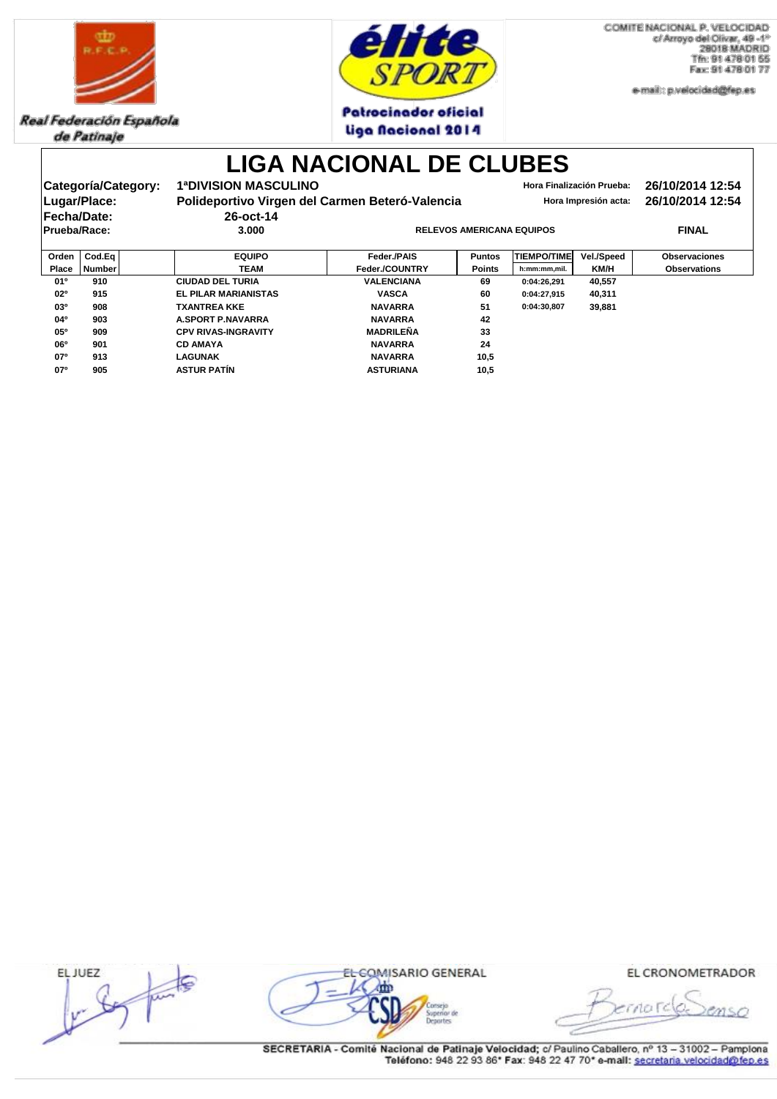

Real Federación Española de Patinaje



COMITE NACIONAL P. VELOCIDAD c/ Arroyo del Olivar, 49 -1° **28018 MADRID** Tfn: 91 478 01 55 Fax: 91 478 01 77

e-mail:: p.velocidad@fep.es

#### **Patrocinador oficial** Liga Nacional 2014

|                    |                     |                                                 | <b>LIGA NACIONAL DE CLUBES</b> |               |                           |                                      |                      |  |
|--------------------|---------------------|-------------------------------------------------|--------------------------------|---------------|---------------------------|--------------------------------------|----------------------|--|
|                    | Categoría/Category: | <b>1ªDIVISION MASCULINO</b>                     |                                |               | Hora Finalización Prueba: | 26/10/2014 12:54<br>26/10/2014 12:54 |                      |  |
|                    | Lugar/Place:        | Polideportivo Virgen del Carmen Beteró-Valencia |                                |               | Hora Impresión acta:      |                                      |                      |  |
| <b>Fecha/Date:</b> |                     | 26-oct-14                                       |                                |               |                           |                                      |                      |  |
| Prueba/Race:       |                     | 3.000                                           |                                | <b>FINAL</b>  |                           |                                      |                      |  |
| Orden              | Cod.Eq              | <b>EQUIPO</b>                                   | Feder / PAIS                   | <b>Puntos</b> | <b>TIEMPO/TIME</b>        | <b>Vel./Speed</b>                    | <b>Observaciones</b> |  |
| <b>Place</b>       | <b>Number</b>       | <b>TEAM</b>                                     | <b>Feder./COUNTRY</b>          | <b>Points</b> | h:mm:mm,mil.              | KM/H                                 | <b>Observations</b>  |  |
| 01 <sup>o</sup>    | 910                 | <b>CIUDAD DEL TURIA</b>                         | <b>VALENCIANA</b>              | 69            | 0:04:26,291               | 40,557                               |                      |  |
| 02 <sup>o</sup>    | 915                 | <b>EL PILAR MARIANISTAS</b>                     | <b>VASCA</b>                   | 60            | 0:04:27,915               | 40,311                               |                      |  |
| 03 <sup>o</sup>    | 908                 | <b>TXANTREA KKE</b>                             | <b>NAVARRA</b>                 | 51            | 0:04:30,807               | 39,881                               |                      |  |
| $04^{\circ}$       | 903                 | <b>A.SPORT P.NAVARRA</b>                        | <b>NAVARRA</b>                 | 42            |                           |                                      |                      |  |
| $05^{\circ}$       | 909                 | <b>CPV RIVAS-INGRAVITY</b>                      | <b>MADRILEÑA</b>               | 33            |                           |                                      |                      |  |
| 06 <sup>o</sup>    | 901                 | <b>CD AMAYA</b>                                 | <b>NAVARRA</b>                 | 24            |                           |                                      |                      |  |
| 07 <sup>o</sup>    | 913                 | <b>LAGUNAK</b>                                  | <b>NAVARRA</b>                 | 10,5          |                           |                                      |                      |  |
| 07 <sup>o</sup>    | 905                 | <b>ASTUR PATÍN</b>                              | <b>ASTURIANA</b>               | 10,5          |                           |                                      |                      |  |